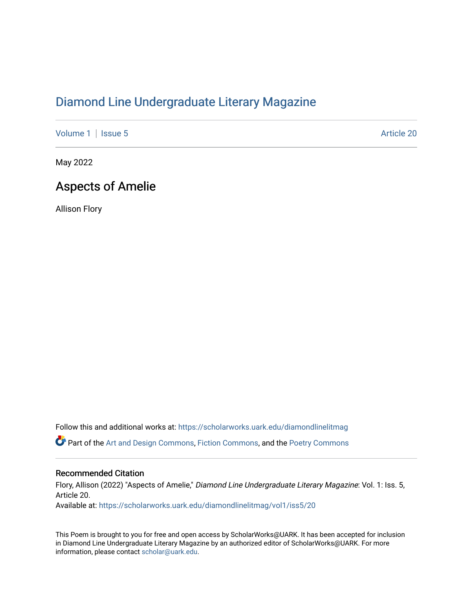## [Diamond Line Undergraduate Literary Magazine](https://scholarworks.uark.edu/diamondlinelitmag)

[Volume 1](https://scholarworks.uark.edu/diamondlinelitmag/vol1) | [Issue 5](https://scholarworks.uark.edu/diamondlinelitmag/vol1/iss5) Article 20

May 2022

## Aspects of Amelie

Allison Flory

Follow this and additional works at: [https://scholarworks.uark.edu/diamondlinelitmag](https://scholarworks.uark.edu/diamondlinelitmag?utm_source=scholarworks.uark.edu%2Fdiamondlinelitmag%2Fvol1%2Fiss5%2F20&utm_medium=PDF&utm_campaign=PDFCoverPages)  Part of the [Art and Design Commons](http://network.bepress.com/hgg/discipline/1049?utm_source=scholarworks.uark.edu%2Fdiamondlinelitmag%2Fvol1%2Fiss5%2F20&utm_medium=PDF&utm_campaign=PDFCoverPages), [Fiction Commons](http://network.bepress.com/hgg/discipline/1151?utm_source=scholarworks.uark.edu%2Fdiamondlinelitmag%2Fvol1%2Fiss5%2F20&utm_medium=PDF&utm_campaign=PDFCoverPages), and the [Poetry Commons](http://network.bepress.com/hgg/discipline/1153?utm_source=scholarworks.uark.edu%2Fdiamondlinelitmag%2Fvol1%2Fiss5%2F20&utm_medium=PDF&utm_campaign=PDFCoverPages) 

## Recommended Citation

Flory, Allison (2022) "Aspects of Amelie," Diamond Line Undergraduate Literary Magazine: Vol. 1: Iss. 5, Article 20. Available at: [https://scholarworks.uark.edu/diamondlinelitmag/vol1/iss5/20](https://scholarworks.uark.edu/diamondlinelitmag/vol1/iss5/20?utm_source=scholarworks.uark.edu%2Fdiamondlinelitmag%2Fvol1%2Fiss5%2F20&utm_medium=PDF&utm_campaign=PDFCoverPages) 

This Poem is brought to you for free and open access by ScholarWorks@UARK. It has been accepted for inclusion in Diamond Line Undergraduate Literary Magazine by an authorized editor of ScholarWorks@UARK. For more information, please contact [scholar@uark.edu.](mailto:scholar@uark.edu)